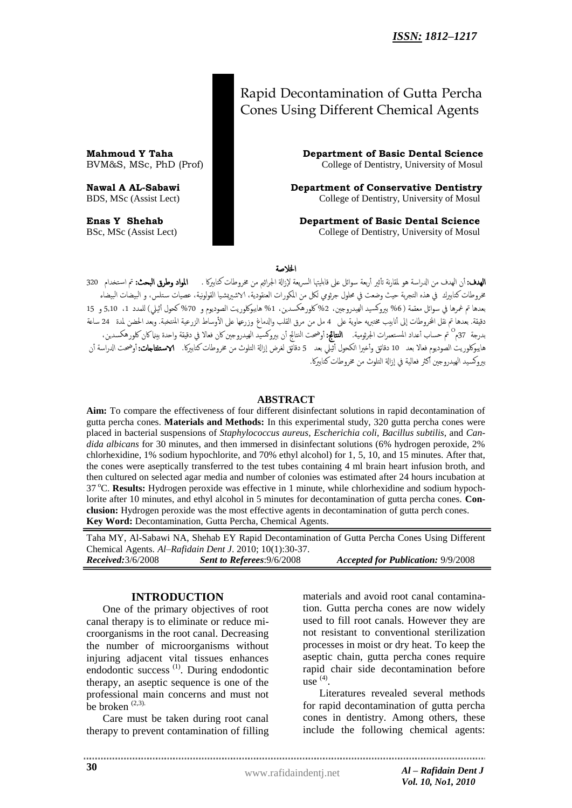# Rapid Decontamination of Gutta Percha Cones Using Different Chemical Agents

**Mahmoud Y Taha Science Science Basic Department of Basic Dental Science** BVM&S, MSc, PhD (Prof) College of Dentistry, University of Mosul

**Nawal A AL-Sabawi Department of Conservative Dentistry** BDS, MSc (Assist Lect) College of Dentistry, University of Mosul

**Enas Y Shehab Department of Basic Dental Science** BSc, MSc (Assist Lect) College of Dentistry, University of Mosul

اخلالصة

**الهدف:** أن الهدف من الدراسة هو لمقارنة تأثير أربعة سوائل على قابليتها السريعة لإزالة الجراثيم من مخروطات كتابيركا . **المواد وطرق البحث:** تم استخدام 320 خروطات كتابيرك في هذه التجربة حيث وضعت في محلول جرثومي لكل من المكورات العنقودية، الاشيريشيا القولونية، عصيات ستلس، و البيضات البيضاء بعدها تم غمرها في سوائل معقمة (6% بيروكسيد الهيدروجين، 2%كلورهكسدين، 1% هايبوكلوريت الصوديوم و 70% كحول أثيلي) للمدد 1، 5,10 و 15 دقيقة. بعدها تم نقل الخروطات إلى أنابيب مختبريه حاوية على 4 مل من مرق القلب والدماغ وزرعها على الأوساط الزرعية المنتخبة. وبعد الحضن لمدة 24 ساعة بدرجة 37م<sup>0 ن</sup>م حساب أعداد المستعمرات الجرثومية. ا**لنتائج:** أوضحت النتائج أن بيروكسيد الهيدروجين كان فعالا في دقيقة واحدة بينماكان كلورهكسدين، هايبوكلوريت الصوديوم فعالا بعد 10 دقائق وأخيرا الكحول أثيلي بعد 5 دقائق لغرض إزالة التلوث من مخروطات كتابيركا. Nستغتاجات: أوضحت الدراسة أن بروكسيد الهيدروجين أكثر فعالية في إزالة التلوث من مخروطات كتاببركا.

#### **ABSTRACT**

**Aim:** To compare the effectiveness of four different disinfectant solutions in rapid decontamination of gutta percha cones. **Materials and Methods:** In this experimental study, 320 gutta percha cones were placed in bacterial suspensions of *Staphylococcus aureus*, *Escherichia coli*, *Bacillus subtilis*, and *Candida albicans* for 30 minutes, and then immersed in disinfectant solutions (6% hydrogen peroxide, 2% chlorhexidine, 1% sodium hypochlorite, and 70% ethyl alcohol) for 1, 5, 10, and 15 minutes. After that, the cones were aseptically transferred to the test tubes containing 4 ml brain heart infusion broth, and then cultured on selected agar media and number of colonies was estimated after 24 hours incubation at 37 <sup>o</sup>C. **Results:** Hydrogen peroxide was effective in 1 minute, while chlorhexidine and sodium hypochlorite after 10 minutes, and ethyl alcohol in 5 minutes for decontamination of gutta percha cones. **Conclusion:** Hydrogen peroxide was the most effective agents in decontamination of gutta perch cones. **Key Word:** Decontamination, Gutta Percha, Chemical Agents.

Taha MY, Al-Sabawi NA, Shehab EY Rapid Decontamination of Gutta Percha Cones Using Different Chemical Agents. *Al–Rafidain Dent J*. 2010; 10(1):30-37. *Received:*3/6/2008 *Sent to Referees*:9/6/2008 *Accepted for Publication:* 9/9/2008

#### **INTRODUCTION**

One of the primary objectives of root canal therapy is to eliminate or reduce microorganisms in the root canal. Decreasing the number of microorganisms without injuring adjacent vital tissues enhances endodontic success (1). During endodontic therapy, an aseptic sequence is one of the professional main concerns and must not be broken (2,3).

Care must be taken during root canal therapy to prevent contamination of filling materials and avoid root canal contamination. Gutta percha cones are now widely used to fill root canals. However they are not resistant to conventional sterilization processes in moist or dry heat. To keep the aseptic chain, gutta percha cones require rapid chair side decontamination before  $use^{(4)}$ .

Literatures revealed several methods for rapid decontamination of gutta percha cones in dentistry. Among others, these include the following chemical agents: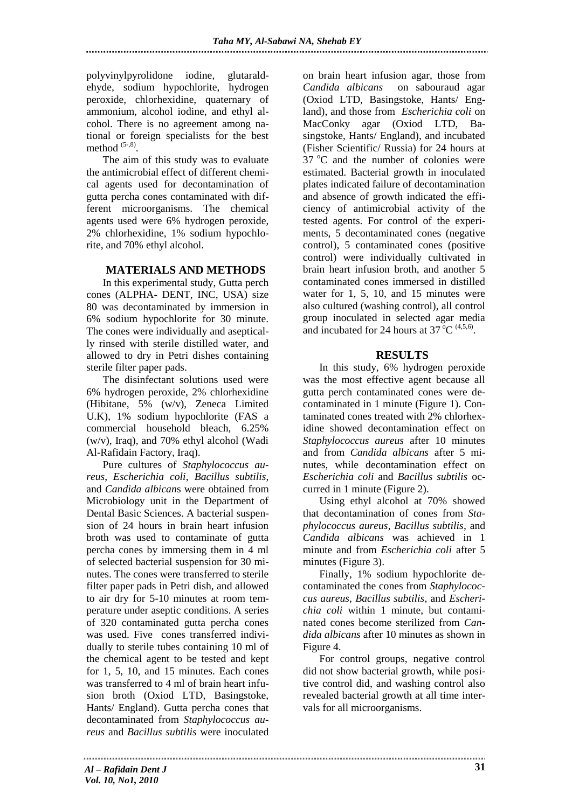polyvinylpyrolidone iodine, glutaraldehyde, sodium hypochlorite, hydrogen peroxide, chlorhexidine, quaternary of ammonium, alcohol iodine, and ethyl alcohol. There is no agreement among national or foreign specialists for the best method  $(5-,8)$ .

The aim of this study was to evaluate the antimicrobial effect of different chemical agents used for decontamination of gutta percha cones contaminated with different microorganisms. The chemical agents used were 6% hydrogen peroxide, 2% chlorhexidine, 1% sodium hypochlorite, and 70% ethyl alcohol.

## **MATERIALS AND METHODS**

In this experimental study, Gutta perch cones (ALPHA- DENT, INC, USA) size 80 was decontaminated by immersion in 6% sodium hypochlorite for 30 minute. The cones were individually and aseptically rinsed with sterile distilled water, and allowed to dry in Petri dishes containing sterile filter paper pads.

The disinfectant solutions used were 6% hydrogen peroxide, 2% chlorhexidine (Hibitane, 5% (w/v), Zeneca Limited U.K), 1% sodium hypochlorite (FAS a commercial household bleach, 6.25% (w/v), Iraq), and 70% ethyl alcohol (Wadi Al-Rafidain Factory, Iraq).

Pure cultures of *Staphylococcus aureus*, *Escherichia coli*, *Bacillus subtilis*, and *Candida albican*s were obtained from Microbiology unit in the Department of Dental Basic Sciences. A bacterial suspension of 24 hours in brain heart infusion broth was used to contaminate of gutta percha cones by immersing them in 4 ml of selected bacterial suspension for 30 minutes. The cones were transferred to sterile filter paper pads in Petri dish, and allowed to air dry for 5-10 minutes at room temperature under aseptic conditions. A series of 320 contaminated gutta percha cones was used. Five cones transferred individually to sterile tubes containing 10 ml of the chemical agent to be tested and kept for 1, 5, 10, and 15 minutes. Each cones was transferred to 4 ml of brain heart infusion broth (Oxiod LTD, Basingstoke, Hants/ England). Gutta percha cones that decontaminated from *Staphylococcus aureus* and *Bacillus subtilis* were inoculated

on brain heart infusion agar, those from *Candida albicans* on sabouraud agar (Oxiod LTD, Basingstoke, Hants/ England), and those from *Escherichia coli* on MacConky agar (Oxiod LTD, Basingstoke, Hants/ England), and incubated (Fisher Scientific/ Russia) for 24 hours at  $37 \text{ °C}$  and the number of colonies were estimated. Bacterial growth in inoculated plates indicated failure of decontamination and absence of growth indicated the efficiency of antimicrobial activity of the tested agents. For control of the experiments, 5 decontaminated cones (negative control), 5 contaminated cones (positive control) were individually cultivated in brain heart infusion broth, and another 5 contaminated cones immersed in distilled water for 1, 5, 10, and 15 minutes were also cultured (washing control), all control group inoculated in selected agar media and incubated for 24 hours at  $37^{\circ}$ C <sup>(4,5,6)</sup>.

## **RESULTS**

In this study, 6% hydrogen peroxide was the most effective agent because all gutta perch contaminated cones were decontaminated in 1 minute (Figure 1). Contaminated cones treated with 2% chlorhexidine showed decontamination effect on *Staphylococcus aureus* after 10 minutes and from *Candida albicans* after 5 minutes, while decontamination effect on *Escherichia coli* and *Bacillus subtilis* occurred in 1 minute (Figure 2).

Using ethyl alcohol at 70% showed that decontamination of cones from *Staphylococcus aureus*, *Bacillus subtilis*, and *Candida albicans* was achieved in 1 minute and from *Escherichia coli* after 5 minutes (Figure 3).

Finally, 1% sodium hypochlorite decontaminated the cones from *Staphylococcus aureus*, *Bacillus subtilis*, and *Escherichia coli* within 1 minute, but contaminated cones become sterilized from *Candida albicans* after 10 minutes as shown in Figure 4.

For control groups, negative control did not show bacterial growth, while positive control did, and washing control also revealed bacterial growth at all time intervals for all microorganisms.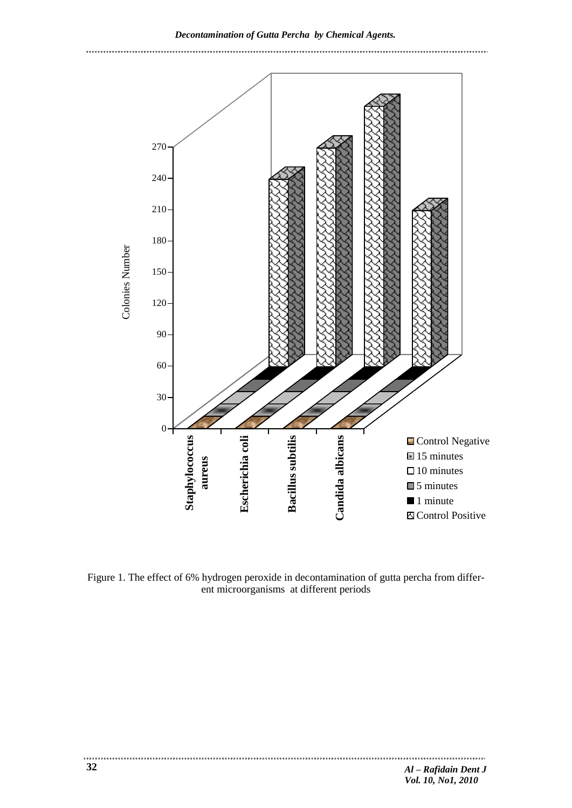*Decontamination of Gutta Percha by Chemical Agents.* 



Figure 1. The effect of 6% hydrogen peroxide in decontamination of gutta percha from different microorganisms at different periods

..............................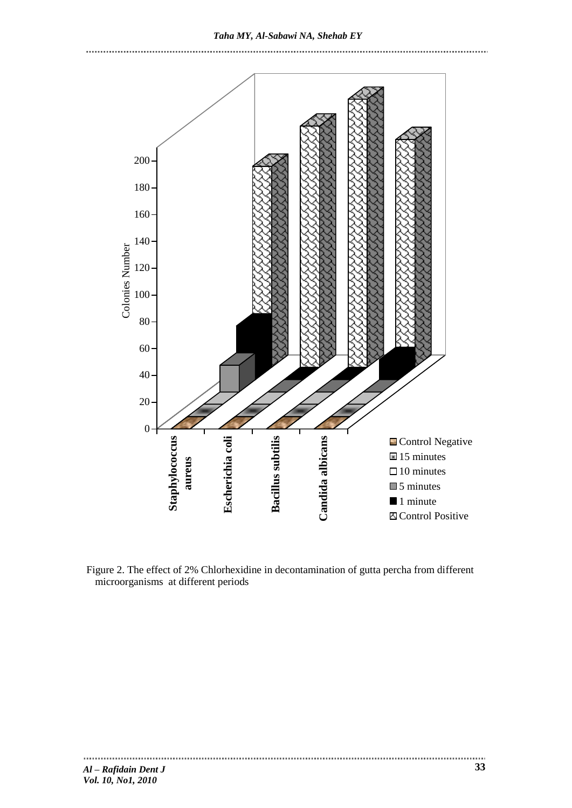*Taha MY, Al-Sabawi NA, Shehab EY*





Figure 2. The effect of 2% Chlorhexidine in decontamination of gutta percha from different microorganisms at different periods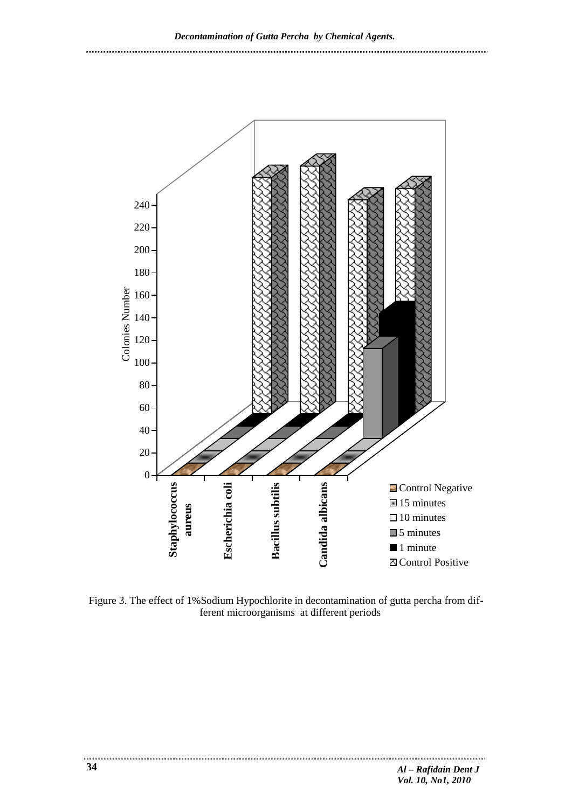

Figure 3. The effect of 1%Sodium Hypochlorite in decontamination of gutta percha from different microorganisms at different periods

.....................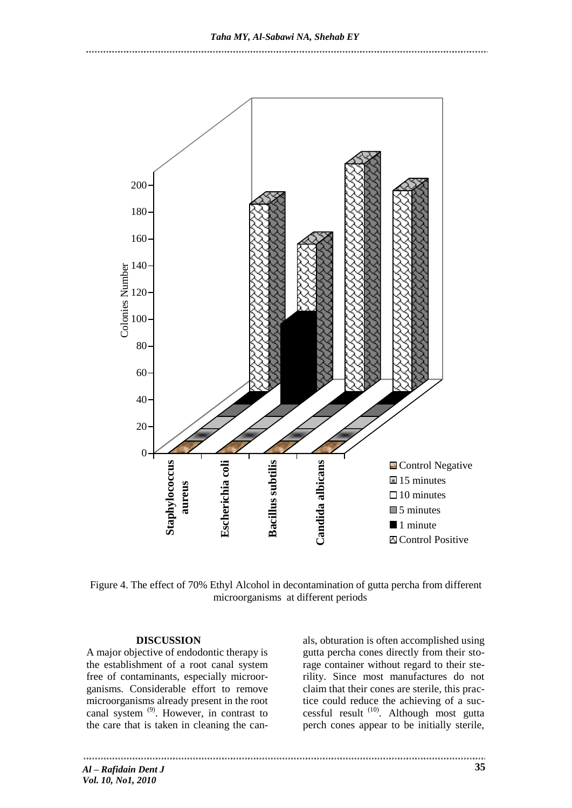

Figure 4. The effect of 70% Ethyl Alcohol in decontamination of gutta percha from different microorganisms at different periods

#### **DISCUSSION**

A major objective of endodontic therapy is the establishment of a root canal system free of contaminants, especially microorganisms. Considerable effort to remove microorganisms already present in the root canal system (9). However, in contrast to the care that is taken in cleaning the can-

als, obturation is often accomplished using gutta percha cones directly from their storage container without regard to their sterility. Since most manufactures do not claim that their cones are sterile, this practice could reduce the achieving of a successful result<sup>(10)</sup>. Although most gutta perch cones appear to be initially sterile,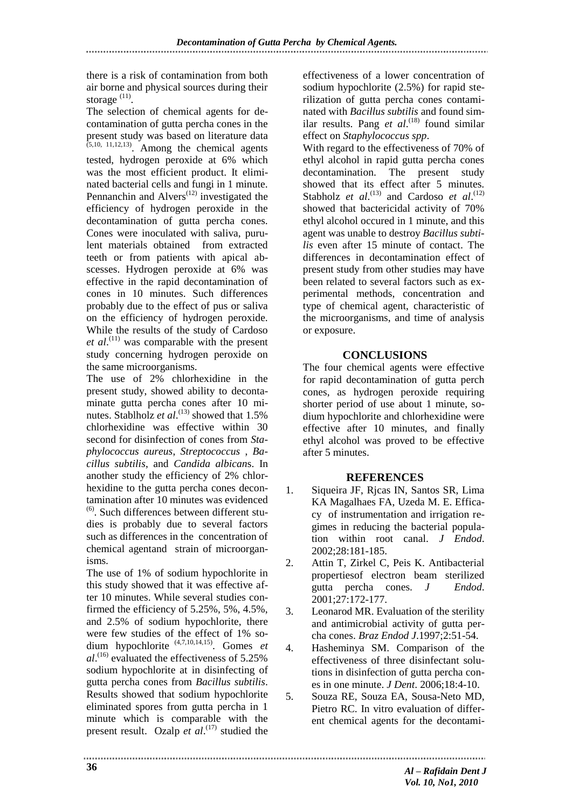there is a risk of contamination from both air borne and physical sources during their storage<sup>(11)</sup>.

The selection of chemical agents for decontamination of gutta percha cones in the present study was based on literature data  $(5,10, 11,12,13)$ . Among the chemical agents tested, hydrogen peroxide at 6% which was the most efficient product. It eliminated bacterial cells and fungi in 1 minute. Pennanchin and  $\text{Alvers}^{(12)}$  investigated the efficiency of hydrogen peroxide in the decontamination of gutta percha cones. Cones were inoculated with saliva, purulent materials obtained from extracted teeth or from patients with apical abscesses. Hydrogen peroxide at 6% was effective in the rapid decontamination of cones in 10 minutes. Such differences probably due to the effect of pus or saliva on the efficiency of hydrogen peroxide. While the results of the study of Cardoso *et al*. (11) was comparable with the present study concerning hydrogen peroxide on the same microorganisms.

The use of 2% chlorhexidine in the present study, showed ability to decontaminate gutta percha cones after 10 minutes. Stablholz *et al.*<sup>(13)</sup> showed that 1.5% chlorhexidine was effective within 30 second for disinfection of cones from *Staphylococcus aureus*, *Streptococcus* , *Bacillus subtilis*, and *Candida albican*s. In another study the efficiency of 2% chlorhexidine to the gutta percha cones decontamination after 10 minutes was evidenced  $<sup>(6)</sup>$ . Such differences between different stu-</sup> dies is probably due to several factors such as differences in the concentration of chemical agentand strain of microorganisms.

The use of 1% of sodium hypochlorite in this study showed that it was effective after 10 minutes. While several studies confirmed the efficiency of 5.25%, 5%, 4.5%, and 2.5% of sodium hypochlorite, there were few studies of the effect of 1% sodium hypochlorite (4,7,10,14,15). Gomes *et al*. (16) evaluated the effectiveness of 5.25% sodium hypochlorite at in disinfecting of gutta percha cones from *Bacillus subtilis*. Results showed that sodium hypochlorite eliminated spores from gutta percha in 1 minute which is comparable with the present result. Ozalp *et al.*<sup>(17)</sup> studied the effectiveness of a lower concentration of sodium hypochlorite (2.5%) for rapid sterilization of gutta percha cones contaminated with *Bacillus subtilis* and found similar results. Pang *et al.*<sup>(18)</sup> found similar effect on *Staphylococcus spp*.

With regard to the effectiveness of 70% of ethyl alcohol in rapid gutta percha cones decontamination. The present study showed that its effect after 5 minutes. Stabholz *et al.*<sup>(13)</sup> and Cardoso *et al.*<sup>(12)</sup> showed that bactericidal activity of 70% ethyl alcohol occured in 1 minute, and this agent was unable to destroy *Bacillus subtilis* even after 15 minute of contact. The differences in decontamination effect of present study from other studies may have been related to several factors such as experimental methods, concentration and type of chemical agent, characteristic of the microorganisms, and time of analysis or exposure.

## **CONCLUSIONS**

The four chemical agents were effective for rapid decontamination of gutta perch cones, as hydrogen peroxide requiring shorter period of use about 1 minute, sodium hypochlorite and chlorhexidine were effective after 10 minutes, and finally ethyl alcohol was proved to be effective after 5 minutes.

## **REFERENCES**

- 1. Siqueira JF, Rjcas IN, Santos SR, Lima KA Magalhaes FA, Uzeda M. E. Efficacy of instrumentation and irrigation regimes in reducing the bacterial population within root canal. *J Endod*. 2002;28:181-185.
- 2. Attin T, Zirkel C, Peis K. Antibacterial propertiesof electron beam sterilized gutta percha cones. *J Endod*. 2001;27:172-177.
- 3. Leonarod MR. Evaluation of the sterility and antimicrobial activity of gutta percha cones. *Braz Endod J*.1997;2:51-54.
- 4. Hasheminya SM. Comparison of the effectiveness of three disinfectant solutions in disinfection of gutta percha cones in one minute. *J Dent*. 2006;18:4-10.
- 5. Souza RE, Souza EA, Sousa-Neto MD, Pietro RC. In vitro evaluation of different chemical agents for the decontami-